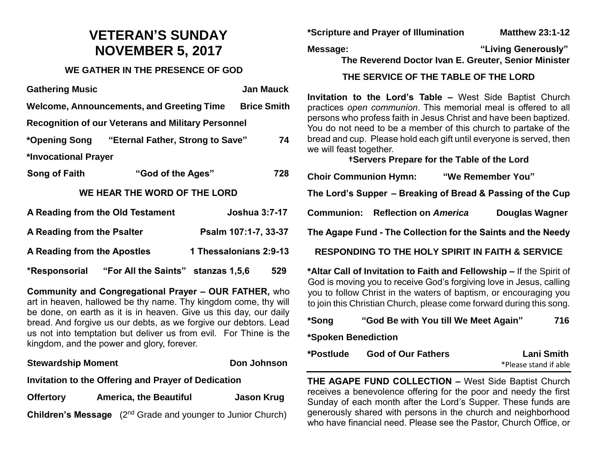# **VETERAN'S SUNDAY NOVEMBER 5, 2017**

#### **WE GATHER IN THE PRESENCE OF GOD**

| <b>Gathering Music</b>                                    |                                                |  | <b>Jan Mauck</b>       |  |
|-----------------------------------------------------------|------------------------------------------------|--|------------------------|--|
| Welcome, Announcements, and Greeting Time                 |                                                |  | <b>Brice Smith</b>     |  |
| <b>Recognition of our Veterans and Military Personnel</b> |                                                |  |                        |  |
|                                                           | *Opening Song "Eternal Father, Strong to Save" |  | 74                     |  |
| *Invocational Prayer                                      |                                                |  |                        |  |
| Song of Faith                                             | "God of the Ages"                              |  | 728                    |  |
| WE HEAR THE WORD OF THE LORD                              |                                                |  |                        |  |
| A Reading from the Old Testament                          |                                                |  | <b>Joshua 3:7-17</b>   |  |
| A Reading from the Psalter                                |                                                |  | Psalm 107:1-7, 33-37   |  |
| A Reading from the Apostles                               |                                                |  | 1 Thessalonians 2:9-13 |  |
| *Responsorial                                             | "For All the Saints" stanzas 1,5,6             |  | 529                    |  |

**Community and Congregational Prayer – OUR FATHER,** who art in heaven, hallowed be thy name. Thy kingdom come, thy will be done, on earth as it is in heaven. Give us this day, our daily bread. And forgive us our debts, as we forgive our debtors. Lead us not into temptation but deliver us from evil. For Thine is the kingdom, and the power and glory, forever.

#### **Stewardship Moment Communist Communist Communist Communist Communist Communist Communist Communist Communist Communist Communist Communist Communist Communist Communist Communist Communist Communist Communist Communist Co**

#### **Invitation to the Offering and Prayer of Dedication**

**Offertory America, the Beautiful Jason Krug**

**Children's Message** (2<sup>nd</sup> Grade and younger to Junior Church)

**\*Scripture and Prayer of Illumination Matthew 23:1-12**

**Message: "Living Generously"**

**The Reverend Doctor Ivan E. Greuter, Senior Minister**

#### **THE SERVICE OF THE TABLE OF THE LORD**

**Invitation to the Lord's Table –** West Side Baptist Church practices *open communion*. This memorial meal is offered to all persons who profess faith in Jesus Christ and have been baptized. You do not need to be a member of this church to partake of the bread and cup. Please hold each gift until everyone is served, then we will feast together.

**†Servers Prepare for the Table of the Lord**

**Choir Communion Hymn: "We Remember You" The Lord's Supper – Breaking of Bread & Passing of the Cup Communion: Reflection on** *America* **Douglas Wagner The Agape Fund - The Collection for the Saints and the Needy**

**RESPONDING TO THE HOLY SPIRIT IN FAITH & SERVICE**

**\*Altar Call of Invitation to Faith and Fellowship –** If the Spirit of God is moving you to receive God's forgiving love in Jesus, calling you to follow Christ in the waters of baptism, or encouraging you to join this Christian Church, please come forward during this song.

| *Song               | "God Be with You till We Meet Again" | 716               |
|---------------------|--------------------------------------|-------------------|
| *Spoken Benediction |                                      |                   |
| *Postlude           | <b>God of Our Fathers</b>            | <b>Lani Smith</b> |

\*Please stand if able

**THE AGAPE FUND COLLECTION –** West Side Baptist Church receives a benevolence offering for the poor and needy the first Sunday of each month after the Lord's Supper. These funds are generously shared with persons in the church and neighborhood who have financial need. Please see the Pastor, Church Office, or